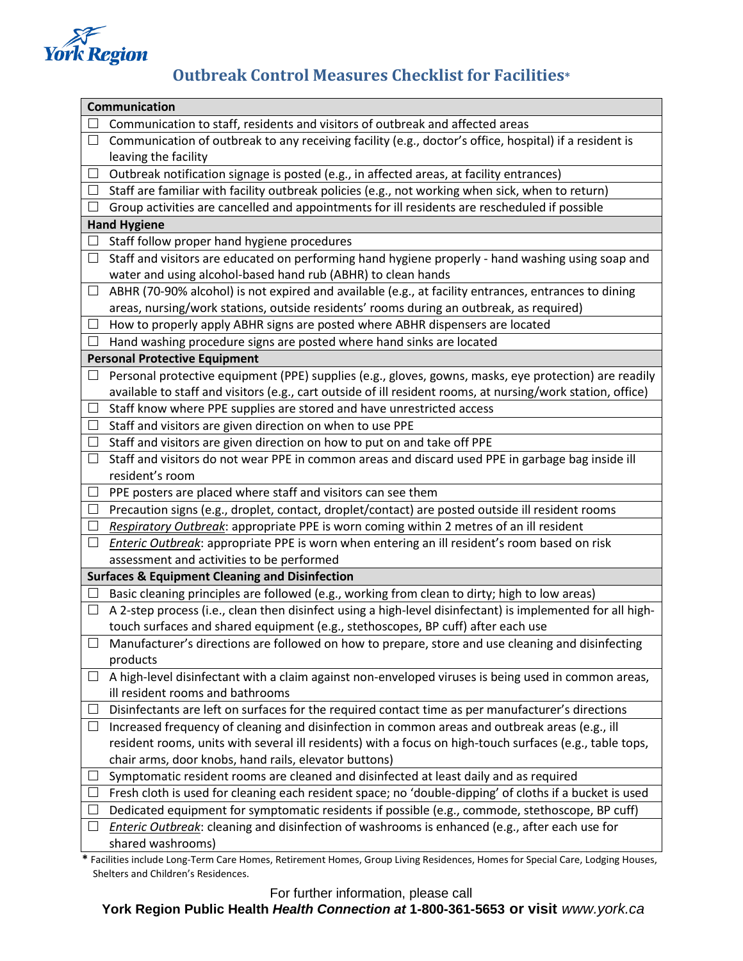

## **Outbreak Control Measures Checklist for Facilities\***

| Communication                                             |                                                                                                             |
|-----------------------------------------------------------|-------------------------------------------------------------------------------------------------------------|
|                                                           | Communication to staff, residents and visitors of outbreak and affected areas                               |
| $\Box$                                                    | Communication of outbreak to any receiving facility (e.g., doctor's office, hospital) if a resident is      |
|                                                           | leaving the facility                                                                                        |
| $\Box$                                                    | Outbreak notification signage is posted (e.g., in affected areas, at facility entrances)                    |
|                                                           | Staff are familiar with facility outbreak policies (e.g., not working when sick, when to return)            |
|                                                           | Group activities are cancelled and appointments for ill residents are rescheduled if possible               |
| <b>Hand Hygiene</b>                                       |                                                                                                             |
|                                                           | Staff follow proper hand hygiene procedures                                                                 |
| $\Box$                                                    | Staff and visitors are educated on performing hand hygiene properly - hand washing using soap and           |
|                                                           | water and using alcohol-based hand rub (ABHR) to clean hands                                                |
| $\Box$                                                    | ABHR (70-90% alcohol) is not expired and available (e.g., at facility entrances, entrances to dining        |
|                                                           | areas, nursing/work stations, outside residents' rooms during an outbreak, as required)                     |
| ப                                                         | How to properly apply ABHR signs are posted where ABHR dispensers are located                               |
|                                                           | Hand washing procedure signs are posted where hand sinks are located                                        |
| <b>Personal Protective Equipment</b>                      |                                                                                                             |
| ப                                                         | Personal protective equipment (PPE) supplies (e.g., gloves, gowns, masks, eye protection) are readily       |
|                                                           | available to staff and visitors (e.g., cart outside of ill resident rooms, at nursing/work station, office) |
| $\Box$                                                    | Staff know where PPE supplies are stored and have unrestricted access                                       |
| $\Box$                                                    | Staff and visitors are given direction on when to use PPE                                                   |
| ப                                                         | Staff and visitors are given direction on how to put on and take off PPE                                    |
| $\Box$                                                    | Staff and visitors do not wear PPE in common areas and discard used PPE in garbage bag inside ill           |
|                                                           | resident's room                                                                                             |
| $\Box$                                                    | PPE posters are placed where staff and visitors can see them                                                |
| $\Box$                                                    | Precaution signs (e.g., droplet, contact, droplet/contact) are posted outside ill resident rooms            |
| $\Box$                                                    | Respiratory Outbreak: appropriate PPE is worn coming within 2 metres of an ill resident                     |
| ⊔                                                         | Enteric Outbreak: appropriate PPE is worn when entering an ill resident's room based on risk                |
|                                                           | assessment and activities to be performed                                                                   |
| <b>Surfaces &amp; Equipment Cleaning and Disinfection</b> |                                                                                                             |
|                                                           | Basic cleaning principles are followed (e.g., working from clean to dirty; high to low areas)               |
| $\Box$                                                    | A 2-step process (i.e., clean then disinfect using a high-level disinfectant) is implemented for all high-  |
|                                                           | touch surfaces and shared equipment (e.g., stethoscopes, BP cuff) after each use                            |
|                                                           | Manufacturer's directions are followed on how to prepare, store and use cleaning and disinfecting           |
|                                                           | products                                                                                                    |
| $\Box$                                                    | A high-level disinfectant with a claim against non-enveloped viruses is being used in common areas,         |
|                                                           | ill resident rooms and bathrooms                                                                            |
|                                                           | Disinfectants are left on surfaces for the required contact time as per manufacturer's directions           |
| ப                                                         | Increased frequency of cleaning and disinfection in common areas and outbreak areas (e.g., ill              |
|                                                           | resident rooms, units with several ill residents) with a focus on high-touch surfaces (e.g., table tops,    |
|                                                           | chair arms, door knobs, hand rails, elevator buttons)                                                       |
|                                                           | Symptomatic resident rooms are cleaned and disinfected at least daily and as required                       |
|                                                           | Fresh cloth is used for cleaning each resident space; no 'double-dipping' of cloths if a bucket is used     |
|                                                           | Dedicated equipment for symptomatic residents if possible (e.g., commode, stethoscope, BP cuff)             |
|                                                           | Enteric Outbreak: cleaning and disinfection of washrooms is enhanced (e.g., after each use for              |
|                                                           | shared washrooms)                                                                                           |

**\*** Facilities include Long-Term Care Homes, Retirement Homes, Group Living Residences, Homes for Special Care, Lodging Houses, Shelters and Children's Residences.

For further information, please call